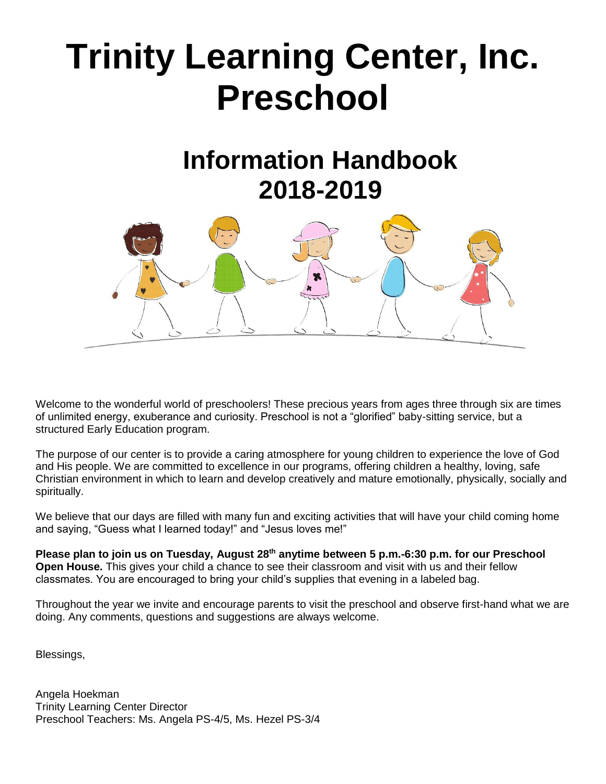# **Trinity Learning Center, Inc. Preschool**

# **Information Handbook 2018-2019**



Welcome to the wonderful world of preschoolers! These precious years from ages three through six are times of unlimited energy, exuberance and curiosity. Preschool is not a "glorified" baby-sitting service, but a structured Early Education program.

The purpose of our center is to provide a caring atmosphere for young children to experience the love of God and His people. We are committed to excellence in our programs, offering children a healthy, loving, safe Christian environment in which to learn and develop creatively and mature emotionally, physically, socially and spiritually.

We believe that our days are filled with many fun and exciting activities that will have your child coming home and saying, "Guess what I learned today!" and "Jesus loves me!"

**Please plan to join us on Tuesday, August 28th anytime between 5 p.m.-6:30 p.m. for our Preschool Open House.** This gives your child a chance to see their classroom and visit with us and their fellow classmates. You are encouraged to bring your child's supplies that evening in a labeled bag.

Throughout the year we invite and encourage parents to visit the preschool and observe first-hand what we are doing. Any comments, questions and suggestions are always welcome.

Blessings,

Angela Hoekman Trinity Learning Center Director Preschool Teachers: Ms. Angela PS-4/5, Ms. Hezel PS-3/4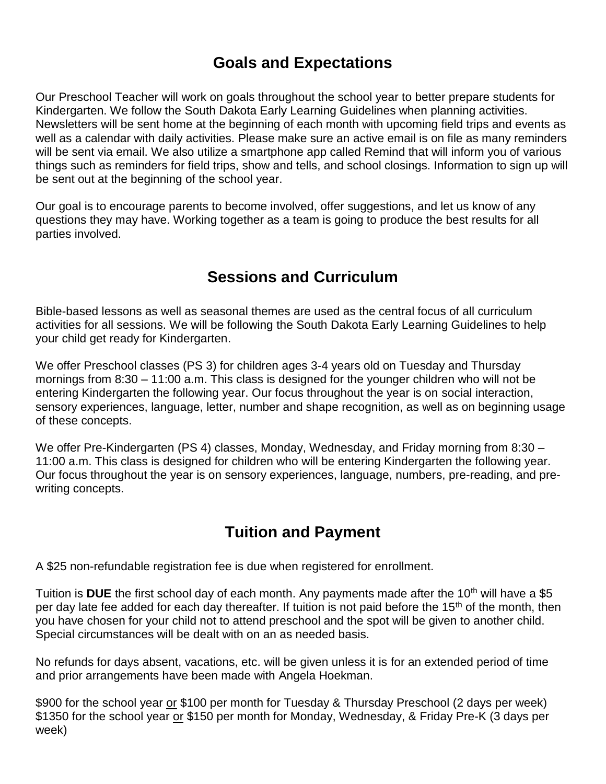# **Goals and Expectations**

Our Preschool Teacher will work on goals throughout the school year to better prepare students for Kindergarten. We follow the South Dakota Early Learning Guidelines when planning activities. Newsletters will be sent home at the beginning of each month with upcoming field trips and events as well as a calendar with daily activities. Please make sure an active email is on file as many reminders will be sent via email. We also utilize a smartphone app called Remind that will inform you of various things such as reminders for field trips, show and tells, and school closings. Information to sign up will be sent out at the beginning of the school year.

Our goal is to encourage parents to become involved, offer suggestions, and let us know of any questions they may have. Working together as a team is going to produce the best results for all parties involved.

# **Sessions and Curriculum**

Bible-based lessons as well as seasonal themes are used as the central focus of all curriculum activities for all sessions. We will be following the South Dakota Early Learning Guidelines to help your child get ready for Kindergarten.

We offer Preschool classes (PS 3) for children ages 3-4 years old on Tuesday and Thursday mornings from 8:30 – 11:00 a.m. This class is designed for the younger children who will not be entering Kindergarten the following year. Our focus throughout the year is on social interaction, sensory experiences, language, letter, number and shape recognition, as well as on beginning usage of these concepts.

We offer Pre-Kindergarten (PS 4) classes, Monday, Wednesday, and Friday morning from 8:30 – 11:00 a.m. This class is designed for children who will be entering Kindergarten the following year. Our focus throughout the year is on sensory experiences, language, numbers, pre-reading, and prewriting concepts.

# **Tuition and Payment**

A \$25 non-refundable registration fee is due when registered for enrollment.

Tuition is **DUE** the first school day of each month. Any payments made after the 10<sup>th</sup> will have a \$5 per day late fee added for each day thereafter. If tuition is not paid before the 15<sup>th</sup> of the month, then you have chosen for your child not to attend preschool and the spot will be given to another child. Special circumstances will be dealt with on an as needed basis.

No refunds for days absent, vacations, etc. will be given unless it is for an extended period of time and prior arrangements have been made with Angela Hoekman.

\$900 for the school year or \$100 per month for Tuesday & Thursday Preschool (2 days per week) \$1350 for the school year or \$150 per month for Monday, Wednesday, & Friday Pre-K (3 days per week)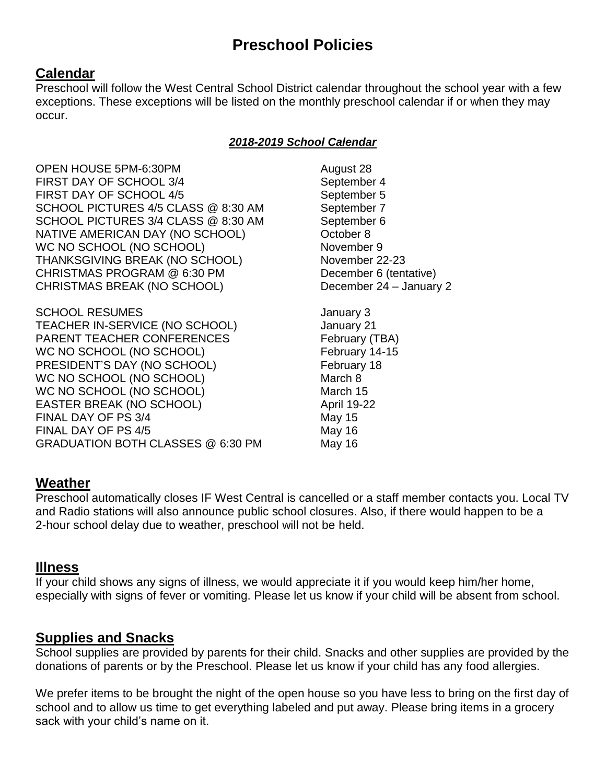# **Preschool Policies**

#### **Calendar**

Preschool will follow the West Central School District calendar throughout the school year with a few exceptions. These exceptions will be listed on the monthly preschool calendar if or when they may occur.

#### *2018-2019 School Calendar*

OPEN HOUSE 5PM-6:30PM August 28 FIRST DAY OF SCHOOL 3/4 September 4 FIRST DAY OF SCHOOL 4/5 September 5 SCHOOL PICTURES 4/5 CLASS @ 8:30 AM September 7 SCHOOL PICTURES 3/4 CLASS @ 8:30 AM September 6 NATIVE AMERICAN DAY (NO SCHOOL) October 8 WC NO SCHOOL (NO SCHOOL) November 9 THANKSGIVING BREAK (NO SCHOOL) November 22-23 CHRISTMAS PROGRAM @ 6:30 PM December 6 (tentative) CHRISTMAS BREAK (NO SCHOOL) December 24 – January 2

SCHOOL RESUMES **SCHOOL RESUMES January 3** TEACHER IN-SERVICE (NO SCHOOL) January 21 PARENT TEACHER CONFERENCES February (TBA) WC NO SCHOOL (NO SCHOOL) February 14-15 PRESIDENT'S DAY (NO SCHOOL) February 18 WC NO SCHOOL (NO SCHOOL) March 8 WC NO SCHOOL (NO SCHOOL) March 15 EASTER BREAK (NO SCHOOL) April 19-22 FINAL DAY OF PS 3/4 May 15 FINAL DAY OF PS 4/5 May 16 GRADUATION BOTH CLASSES @ 6:30 PM May 16

#### **Weather**

Preschool automatically closes IF West Central is cancelled or a staff member contacts you. Local TV and Radio stations will also announce public school closures. Also, if there would happen to be a 2-hour school delay due to weather, preschool will not be held.

#### **Illness**

If your child shows any signs of illness, we would appreciate it if you would keep him/her home, especially with signs of fever or vomiting. Please let us know if your child will be absent from school.

#### **Supplies and Snacks**

School supplies are provided by parents for their child. Snacks and other supplies are provided by the donations of parents or by the Preschool. Please let us know if your child has any food allergies.

We prefer items to be brought the night of the open house so you have less to bring on the first day of school and to allow us time to get everything labeled and put away. Please bring items in a grocery sack with your child's name on it.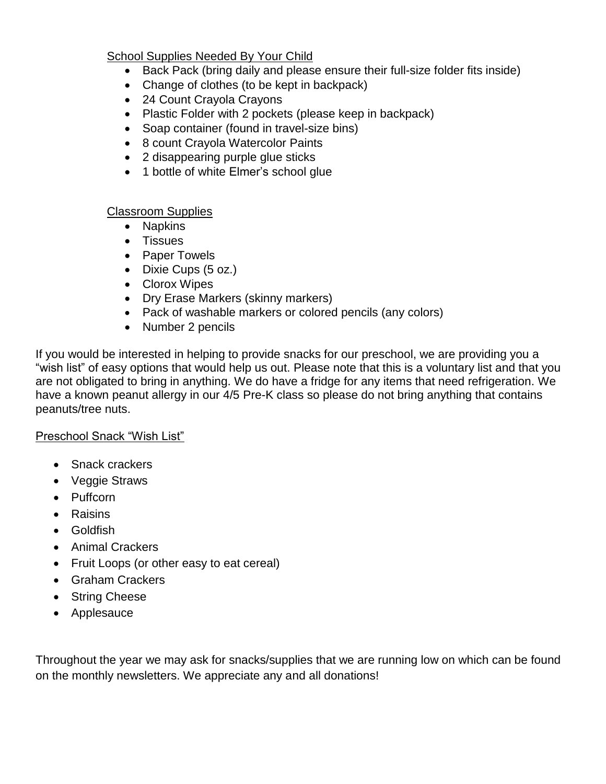#### School Supplies Needed By Your Child

- Back Pack (bring daily and please ensure their full-size folder fits inside)
- Change of clothes (to be kept in backpack)
- 24 Count Crayola Crayons
- Plastic Folder with 2 pockets (please keep in backpack)
- Soap container (found in travel-size bins)
- 8 count Crayola Watercolor Paints
- 2 disappearing purple glue sticks
- 1 bottle of white Elmer's school glue

#### Classroom Supplies

- Napkins
- Tissues
- Paper Towels
- Dixie Cups (5 oz.)
- Clorox Wipes
- Dry Erase Markers (skinny markers)
- Pack of washable markers or colored pencils (any colors)
- Number 2 pencils

If you would be interested in helping to provide snacks for our preschool, we are providing you a "wish list" of easy options that would help us out. Please note that this is a voluntary list and that you are not obligated to bring in anything. We do have a fridge for any items that need refrigeration. We have a known peanut allergy in our 4/5 Pre-K class so please do not bring anything that contains peanuts/tree nuts.

#### Preschool Snack "Wish List"

- Snack crackers
- Veggie Straws
- Puffcorn
- Raisins
- Goldfish
- Animal Crackers
- Fruit Loops (or other easy to eat cereal)
- Graham Crackers
- String Cheese
- Applesauce

Throughout the year we may ask for snacks/supplies that we are running low on which can be found on the monthly newsletters. We appreciate any and all donations!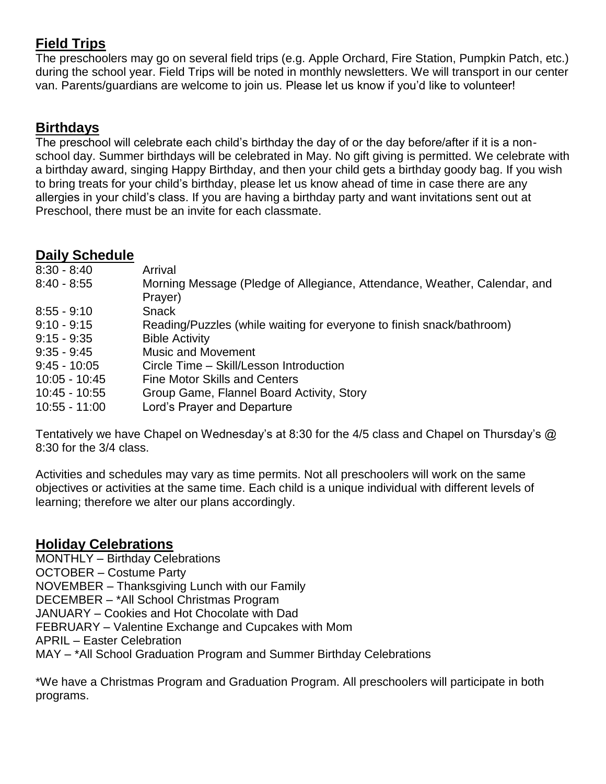# **Field Trips**

The preschoolers may go on several field trips (e.g. Apple Orchard, Fire Station, Pumpkin Patch, etc.) during the school year. Field Trips will be noted in monthly newsletters. We will transport in our center van. Parents/guardians are welcome to join us. Please let us know if you'd like to volunteer!

#### **Birthdays**

The preschool will celebrate each child's birthday the day of or the day before/after if it is a nonschool day. Summer birthdays will be celebrated in May. No gift giving is permitted. We celebrate with a birthday award, singing Happy Birthday, and then your child gets a birthday goody bag. If you wish to bring treats for your child's birthday, please let us know ahead of time in case there are any allergies in your child's class. If you are having a birthday party and want invitations sent out at Preschool, there must be an invite for each classmate.

#### **Daily Schedule**

| $8:30 - 8:40$   | Arrival                                                                   |
|-----------------|---------------------------------------------------------------------------|
| $8:40 - 8:55$   | Morning Message (Pledge of Allegiance, Attendance, Weather, Calendar, and |
|                 | Prayer)                                                                   |
| $8:55 - 9:10$   | <b>Snack</b>                                                              |
| $9:10 - 9:15$   | Reading/Puzzles (while waiting for everyone to finish snack/bathroom)     |
| $9:15 - 9:35$   | <b>Bible Activity</b>                                                     |
| $9:35 - 9:45$   | <b>Music and Movement</b>                                                 |
| $9:45 - 10:05$  | Circle Time - Skill/Lesson Introduction                                   |
| $10:05 - 10:45$ | <b>Fine Motor Skills and Centers</b>                                      |
| $10:45 - 10:55$ | Group Game, Flannel Board Activity, Story                                 |
| $10:55 - 11:00$ | Lord's Prayer and Departure                                               |
|                 |                                                                           |

Tentatively we have Chapel on Wednesday's at 8:30 for the 4/5 class and Chapel on Thursday's @ 8:30 for the 3/4 class.

Activities and schedules may vary as time permits. Not all preschoolers will work on the same objectives or activities at the same time. Each child is a unique individual with different levels of learning; therefore we alter our plans accordingly.

#### **Holiday Celebrations**

MONTHLY – Birthday Celebrations OCTOBER – Costume Party NOVEMBER – Thanksgiving Lunch with our Family DECEMBER – \*All School Christmas Program JANUARY – Cookies and Hot Chocolate with Dad FEBRUARY – Valentine Exchange and Cupcakes with Mom APRIL – Easter Celebration MAY – \*All School Graduation Program and Summer Birthday Celebrations

\*We have a Christmas Program and Graduation Program. All preschoolers will participate in both programs.